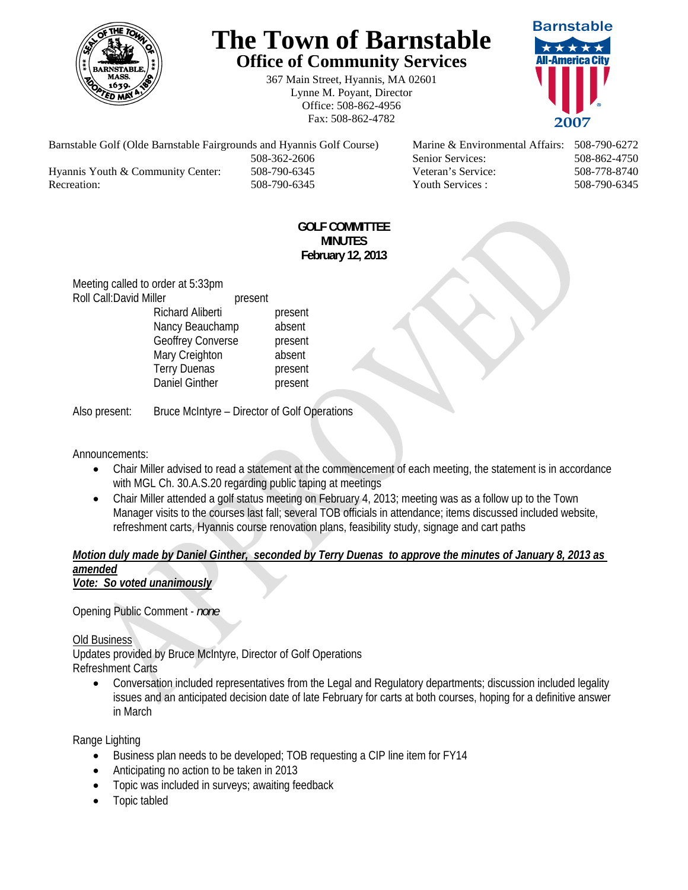

# **The Town of Barnstable Office of Community Services**

367 Main Street, Hyannis, MA 02601 Lynne M. Poyant, Director Office: 508-862-4956 Fax: 508-862-4782



Barnstable Golf (Olde Barnstable Fairgrounds and Hyannis Golf Course) Marine & Environmental Affairs: 508-790-6272 508-362-2606 Senior Services: 508-862-4750 Hyannis Youth & Community Center: 508-790-6345 Veteran's Service: 508-778-8740 Recreation: 508-790-6345 Youth Services : 508-790-6345 S08-790-6345

#### **GOLF COMMITTEE MINUTES February 12, 2013**

Meeting called to order at 5:33pm Roll Call: David Miller present Richard Aliberti present Nancy Beauchamp absent Geoffrey Converse **present** Mary Creighton absent Terry Duenas **present** Daniel Ginther **present** 

Also present: Bruce McIntyre – Director of Golf Operations

Announcements:

- Chair Miller advised to read a statement at the commencement of each meeting, the statement is in accordance with MGL Ch. 30.A.S.20 regarding public taping at meetings
- Chair Miller attended a golf status meeting on February 4, 2013; meeting was as a follow up to the Town Manager visits to the courses last fall; several TOB officials in attendance; items discussed included website, refreshment carts, Hyannis course renovation plans, feasibility study, signage and cart paths

#### *Motion duly made by Daniel Ginther, seconded by Terry Duenas to approve the minutes of January 8, 2013 as amended Vote: So voted unanimously*

Opening Public Comment - *none* 

# Old Business

Updates provided by Bruce McIntyre, Director of Golf Operations Refreshment Carts

 Conversation included representatives from the Legal and Regulatory departments; discussion included legality issues and an anticipated decision date of late February for carts at both courses, hoping for a definitive answer in March

Range Lighting

- Business plan needs to be developed; TOB requesting a CIP line item for FY14
- Anticipating no action to be taken in 2013
- Topic was included in surveys; awaiting feedback
- Topic tabled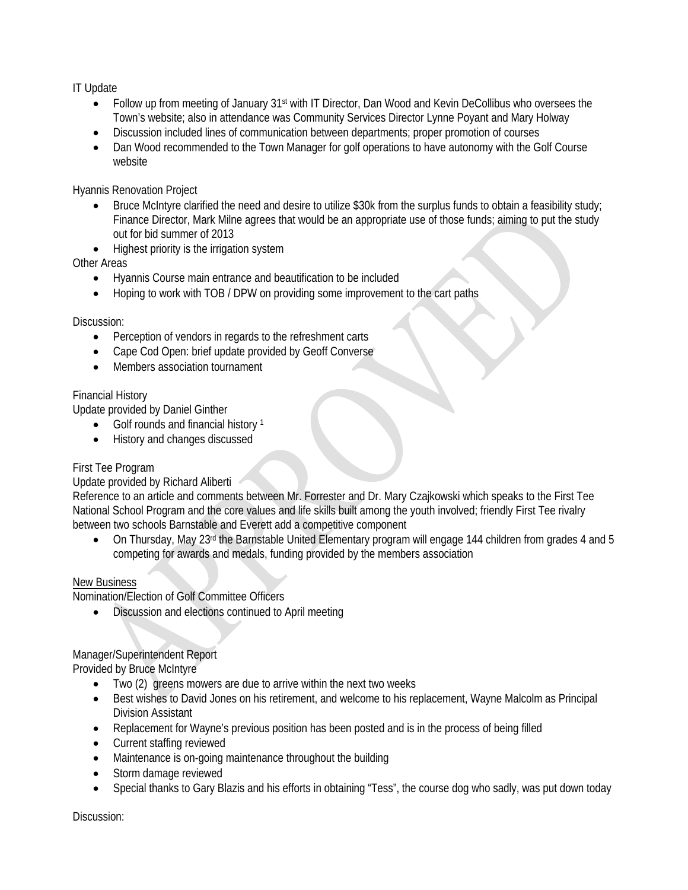IT Update

- Follow up from meeting of January 31st with IT Director, Dan Wood and Kevin DeCollibus who oversees the Town's website; also in attendance was Community Services Director Lynne Poyant and Mary Holway
- Discussion included lines of communication between departments; proper promotion of courses
- Dan Wood recommended to the Town Manager for golf operations to have autonomy with the Golf Course website

Hyannis Renovation Project

- Bruce McIntyre clarified the need and desire to utilize \$30k from the surplus funds to obtain a feasibility study; Finance Director, Mark Milne agrees that would be an appropriate use of those funds; aiming to put the study out for bid summer of 2013
- Highest priority is the irrigation system

Other Areas

- Hyannis Course main entrance and beautification to be included
- Hoping to work with TOB / DPW on providing some improvement to the cart paths

#### Discussion:

- Perception of vendors in regards to the refreshment carts
- Cape Cod Open: brief update provided by Geoff Converse
- Members association tournament

# Financial History

Update provided by Daniel Ginther

- $\bullet$  Golf rounds and financial history 1
- History and changes discussed

# First Tee Program

# Update provided by Richard Aliberti

Reference to an article and comments between Mr. Forrester and Dr. Mary Czajkowski which speaks to the First Tee National School Program and the core values and life skills built among the youth involved; friendly First Tee rivalry between two schools Barnstable and Everett add a competitive component

 On Thursday, May 23rd the Barnstable United Elementary program will engage 144 children from grades 4 and 5 competing for awards and medals, funding provided by the members association

#### New Business

Nomination/Election of Golf Committee Officers

Discussion and elections continued to April meeting

# Manager/Superintendent Report

Provided by Bruce McIntyre

- Two (2) greens mowers are due to arrive within the next two weeks
- Best wishes to David Jones on his retirement, and welcome to his replacement, Wayne Malcolm as Principal Division Assistant
- Replacement for Wayne's previous position has been posted and is in the process of being filled
- Current staffing reviewed
- Maintenance is on-going maintenance throughout the building
- Storm damage reviewed
- Special thanks to Gary Blazis and his efforts in obtaining "Tess", the course dog who sadly, was put down today

Discussion: